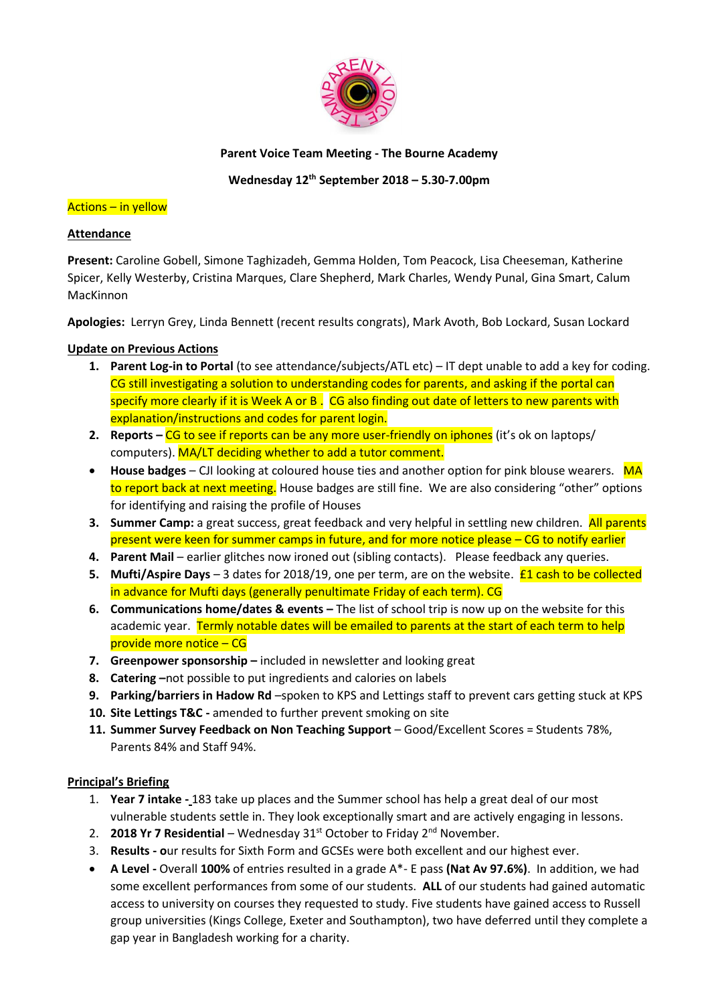

### **Parent Voice Team Meeting - The Bourne Academy**

**Wednesday 12th September 2018 – 5.30-7.00pm**

### Actions – in yellow

### **Attendance**

**Present:** Caroline Gobell, Simone Taghizadeh, Gemma Holden, Tom Peacock, Lisa Cheeseman, Katherine Spicer, Kelly Westerby, Cristina Marques, Clare Shepherd, Mark Charles, Wendy Punal, Gina Smart, Calum MacKinnon

**Apologies:** Lerryn Grey, Linda Bennett (recent results congrats), Mark Avoth, Bob Lockard, Susan Lockard

# **Update on Previous Actions**

- **1. Parent Log-in to Portal** (to see attendance/subjects/ATL etc) IT dept unable to add a key for coding. CG still investigating a solution to understanding codes for parents, and asking if the portal can specify more clearly if it is Week A or B. CG also finding out date of letters to new parents with explanation/instructions and codes for parent login.
- **2. Reports CG to see if reports can be any more user-friendly on iphones** (it's ok on laptops/ computers). MA/LT deciding whether to add a tutor comment.
- **House badges** CJI looking at coloured house ties and another option for pink blouse wearers. MA to report back at next meeting. House badges are still fine. We are also considering "other" options for identifying and raising the profile of Houses
- **3. Summer Camp:** a great success, great feedback and very helpful in settling new children. All parents present were keen for summer camps in future, and for more notice please – CG to notify earlier
- **4. Parent Mail** earlier glitches now ironed out (sibling contacts). Please feedback any queries.
- **5. Mufti/Aspire Days** 3 dates for 2018/19, one per term, are on the website. **£1 cash to be collected** in advance for Mufti days (generally penultimate Friday of each term). CG
- **6. Communications home/dates & events –** The list of school trip is now up on the website for this academic year. Termly notable dates will be emailed to parents at the start of each term to help provide more notice – CG
- **7. Greenpower sponsorship** included in newsletter and looking great
- **8. Catering –**not possible to put ingredients and calories on labels
- **9. Parking/barriers in Hadow Rd** –spoken to KPS and Lettings staff to prevent cars getting stuck at KPS
- **10. Site Lettings T&C -** amended to further prevent smoking on site
- **11. Summer Survey Feedback on Non Teaching Support**  Good/Excellent Scores = Students 78%, Parents 84% and Staff 94%.

# **Principal's Briefing**

- 1. **Year 7 intake -** 183 take up places and the Summer school has help a great deal of our most vulnerable students settle in. They look exceptionally smart and are actively engaging in lessons.
- 2. **2018 Yr 7 Residential** Wednesday 31<sup>st</sup> October to Friday 2<sup>nd</sup> November.
- 3. **Results - o**ur results for Sixth Form and GCSEs were both excellent and our highest ever.
- **A Level -** Overall **100%** of entries resulted in a grade A\*- E pass **(Nat Av 97.6%)**. In addition, we had some excellent performances from some of our students. **ALL** of our students had gained automatic access to university on courses they requested to study. Five students have gained access to Russell group universities (Kings College, Exeter and Southampton), two have deferred until they complete a gap year in Bangladesh working for a charity.